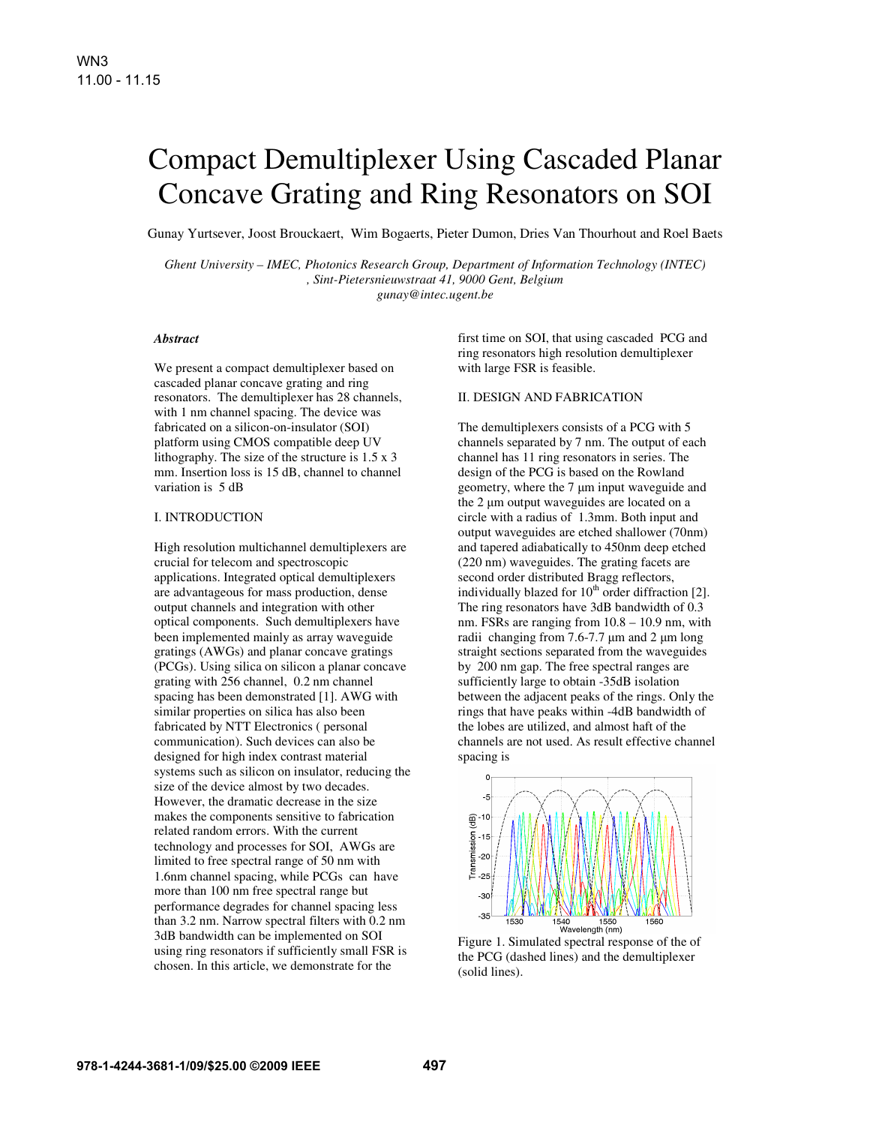# Compact Demultiplexer Using Cascaded Planar Concave Grating and Ring Resonators on SOI

Gunay Yurtsever, Joost Brouckaert, Wim Bogaerts, Pieter Dumon, Dries Van Thourhout and Roel Baets

*Ghent University – IMEC, Photonics Research Group, Department of Information Technology (INTEC) , Sint-Pietersnieuwstraat 41, 9000 Gent, Belgium gunay@intec.ugent.be*

# *Abstract*

We present a compact demultiplexer based on cascaded planar concave grating and ring resonators. The demultiplexer has 28 channels, with 1 nm channel spacing. The device was fabricated on a silicon-on-insulator (SOI) platform using CMOS compatible deep UV lithography. The size of the structure is 1.5 x 3 mm. Insertion loss is 15 dB, channel to channel variation is 5 dB

#### I. INTRODUCTION

High resolution multichannel demultiplexers are crucial for telecom and spectroscopic applications. Integrated optical demultiplexers are advantageous for mass production, dense output channels and integration with other optical components. Such demultiplexers have been implemented mainly as array waveguide gratings (AWGs) and planar concave gratings (PCGs). Using silica on silicon a planar concave grating with 256 channel, 0.2 nm channel spacing has been demonstrated [1]. AWG with similar properties on silica has also been fabricated by NTT Electronics ( personal communication). Such devices can also be designed for high index contrast material systems such as silicon on insulator, reducing the size of the device almost by two decades. However, the dramatic decrease in the size makes the components sensitive to fabrication related random errors. With the current technology and processes for SOI, AWGs are limited to free spectral range of 50 nm with 1.6nm channel spacing, while PCGs can have more than 100 nm free spectral range but performance degrades for channel spacing less than 3.2 nm. Narrow spectral filters with 0.2 nm 3dB bandwidth can be implemented on SOI using ring resonators if sufficiently small FSR is chosen. In this article, we demonstrate for the

first time on SOI, that using cascaded PCG and ring resonators high resolution demultiplexer with large FSR is feasible.

#### II. DESIGN AND FABRICATION

The demultiplexers consists of a PCG with 5 channels separated by 7 nm. The output of each channel has 11 ring resonators in series. The design of the PCG is based on the Rowland geometry, where the 7 µm input waveguide and the 2 um output waveguides are located on a circle with a radius of 1.3mm. Both input and output waveguides are etched shallower (70nm) and tapered adiabatically to 450nm deep etched (220 nm) waveguides. The grating facets are second order distributed Bragg reflectors, individually blazed for  $10<sup>th</sup>$  order diffraction [2]. The ring resonators have 3dB bandwidth of 0.3 nm. FSRs are ranging from 10.8 – 10.9 nm, with radii changing from  $7.6 - 7.7 \mu m$  and  $2 \mu m$  long straight sections separated from the waveguides by 200 nm gap. The free spectral ranges are sufficiently large to obtain -35dB isolation between the adjacent peaks of the rings. Only the rings that have peaks within -4dB bandwidth of the lobes are utilized, and almost haft of the channels are not used. As result effective channel spacing is



Figure 1. Simulated spectral response of the of the PCG (dashed lines) and the demultiplexer (solid lines).